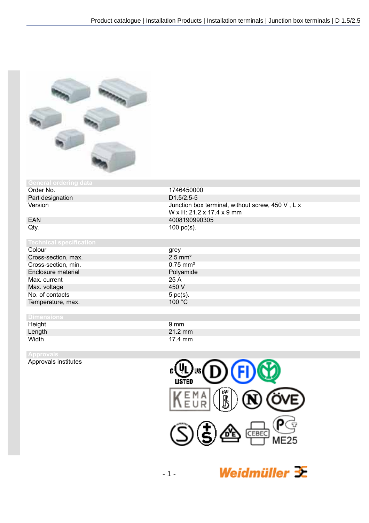1746450000<br>D1.5/2.5-5

 $100$  pc(s).

W x H: 21.2 x 17.4 x 9 mm



## **General ordering data**<br>**Order No.**

Part designation Version Junction box terminal, without screw, 450 V, L x

# EAN 4008190990305<br>Qty. 100 pc(s).

Colour grey Cross-section, max. 2.5 mm<sup>2</sup><br>Cross-section, min. 2.5 mm<sup>2</sup> Cross-section, min. Enclosure material Polyamide<br>
Max. current 25 A Max. current 25 A<br>
Max. voltage 25 A<br>
25 A<br>
25 O V Max. voltage No. of contacts 5 pc(s).<br>Temperature, max. 6 pc(s). Temperature, max.

### **Dimensions**

Height 9 mm Length 21.2 mm<br>Width 17.4 mm 17.4 mm

Approvals institutes



Weidmüller  $\mathcal{\mathcal{F}}$